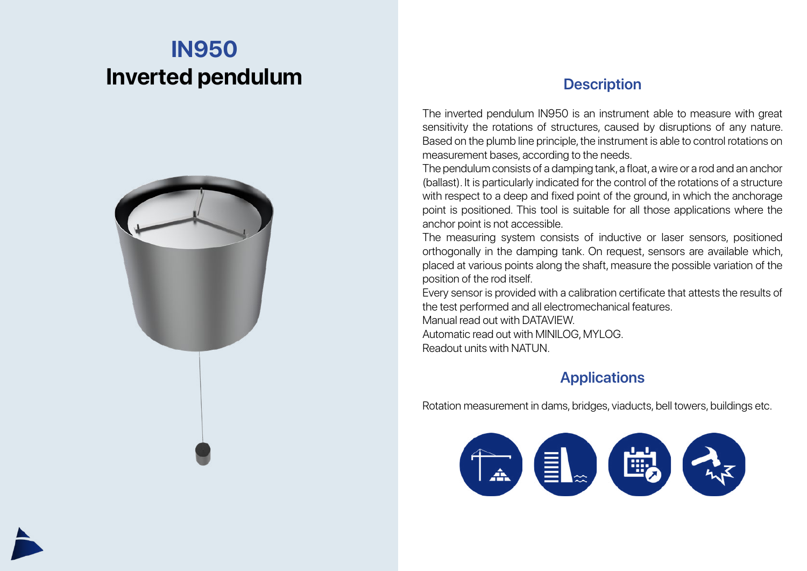## **IN950 Inverted pendulum**



## **Description**

The inverted pendulum IN950 is an instrument able to measure with great sensitivity the rotations of structures, caused by disruptions of any nature. Based on the plumb line principle, the instrument is able to control rotations on measurement bases, according to the needs.

The pendulum consists of a damping tank, a float, a wire or a rod and an anchor (ballast). It is particularly indicated for the control of the rotations of a structure with respect to a deep and fixed point of the ground, in which the anchorage point is positioned. This tool is suitable for all those applications where the anchor point is not accessible.

The measuring system consists of inductive or laser sensors, positioned orthogonally in the damping tank. On request, sensors are available which, placed at various points along the shaft, measure the possible variation of the position of the rod itself.

Every sensor is provided with a calibration certificate that attests the results of the test performed and all electromechanical features.

Manual read out with DATAVIEW. Automatic read out with MINILOG, MYLOG. Readout units with NATUN.

## **Applications**

Rotation measurement in dams, bridges, viaducts, bell towers, buildings etc.